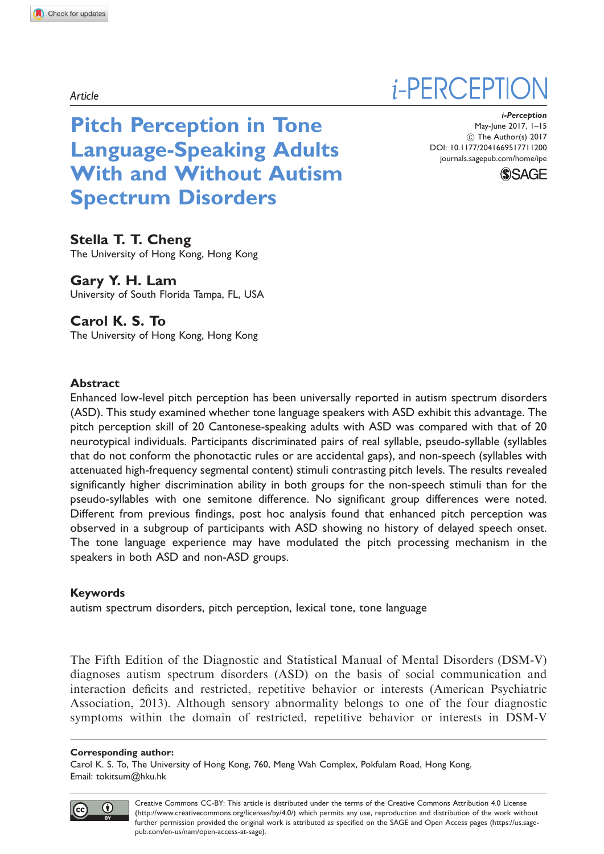Article

Pitch Perception in Tone Language-Speaking Adults With and Without Autism Spectrum Disorders

Stella T. T. Cheng The University of Hong Kong, Hong Kong

Gary Y. H. Lam University of South Florida Tampa, FL, USA

# Carol K. S. To

The University of Hong Kong, Hong Kong

### Abstract

Enhanced low-level pitch perception has been universally reported in autism spectrum disorders (ASD). This study examined whether tone language speakers with ASD exhibit this advantage. The pitch perception skill of 20 Cantonese-speaking adults with ASD was compared with that of 20 neurotypical individuals. Participants discriminated pairs of real syllable, pseudo-syllable (syllables that do not conform the phonotactic rules or are accidental gaps), and non-speech (syllables with attenuated high-frequency segmental content) stimuli contrasting pitch levels. The results revealed significantly higher discrimination ability in both groups for the non-speech stimuli than for the pseudo-syllables with one semitone difference. No significant group differences were noted. Different from previous findings, post hoc analysis found that enhanced pitch perception was observed in a subgroup of participants with ASD showing no history of delayed speech onset. The tone language experience may have modulated the pitch processing mechanism in the speakers in both ASD and non-ASD groups.

#### Keywords

autism spectrum disorders, pitch perception, lexical tone, tone language

The Fifth Edition of the Diagnostic and Statistical Manual of Mental Disorders (DSM-V) diagnoses autism spectrum disorders (ASD) on the basis of social communication and interaction deficits and restricted, repetitive behavior or interests (American Psychiatric Association, 2013). Although sensory abnormality belongs to one of the four diagnostic symptoms within the domain of restricted, repetitive behavior or interests in DSM-V

#### Corresponding author:

Carol K. S. To, The University of Hong Kong, 760, Meng Wah Complex, Pokfulam Road, Hong Kong. Email: tokitsum@hku.hk



*i*-PERCEPTI

i-Perception May-June 2017, 1–15 (C) The Author(s) 2017 DOI: [10.1177/2041669517711200](https://doi.org/10.1177/2041669517711200) <journals.sagepub.com/home/ipe>



Creative Commons CC-BY: This article is distributed under the terms of the Creative Commons Attribution 4.0 License (http://www.creativecommons.org/licenses/by/4.0/) which permits any use, reproduction and distribution of the work without further permission provided the original work is attributed as specified on the SAGE and Open Access pages (https://us.sagepub.com/en-us/nam/open-access-at-sage).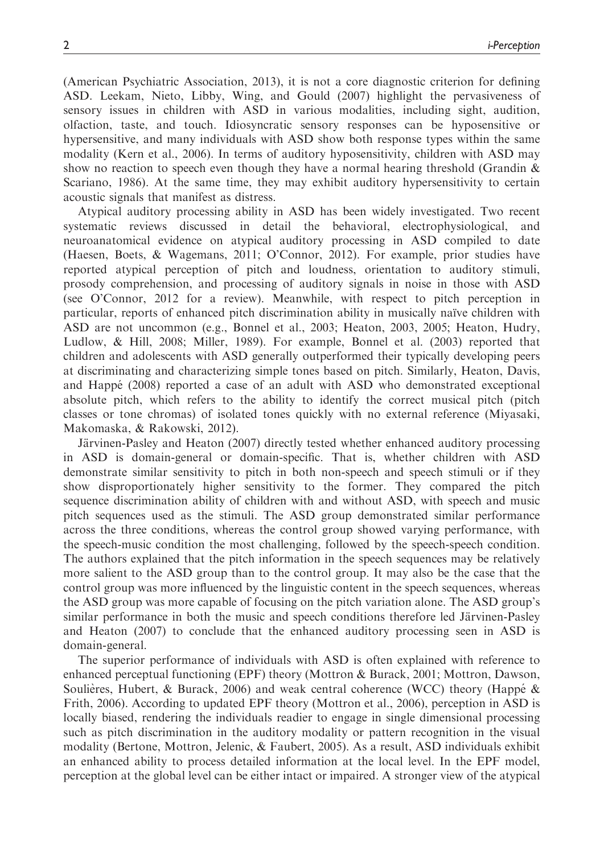(American Psychiatric Association, 2013), it is not a core diagnostic criterion for defining ASD. Leekam, Nieto, Libby, Wing, and Gould (2007) highlight the pervasiveness of sensory issues in children with ASD in various modalities, including sight, audition, olfaction, taste, and touch. Idiosyncratic sensory responses can be hyposensitive or hypersensitive, and many individuals with ASD show both response types within the same modality (Kern et al., 2006). In terms of auditory hyposensitivity, children with ASD may show no reaction to speech even though they have a normal hearing threshold (Grandin  $\&$ Scariano, 1986). At the same time, they may exhibit auditory hypersensitivity to certain acoustic signals that manifest as distress.

Atypical auditory processing ability in ASD has been widely investigated. Two recent systematic reviews discussed in detail the behavioral, electrophysiological, and neuroanatomical evidence on atypical auditory processing in ASD compiled to date (Haesen, Boets, & Wagemans, 2011; O'Connor, 2012). For example, prior studies have reported atypical perception of pitch and loudness, orientation to auditory stimuli, prosody comprehension, and processing of auditory signals in noise in those with ASD (see O'Connor, 2012 for a review). Meanwhile, with respect to pitch perception in particular, reports of enhanced pitch discrimination ability in musically naïve children with ASD are not uncommon (e.g., Bonnel et al., 2003; Heaton, 2003, 2005; Heaton, Hudry, Ludlow, & Hill, 2008; Miller, 1989). For example, Bonnel et al. (2003) reported that children and adolescents with ASD generally outperformed their typically developing peers at discriminating and characterizing simple tones based on pitch. Similarly, Heaton, Davis, and Happé (2008) reported a case of an adult with ASD who demonstrated exceptional absolute pitch, which refers to the ability to identify the correct musical pitch (pitch classes or tone chromas) of isolated tones quickly with no external reference (Miyasaki, Makomaska, & Rakowski, 2012).

Järvinen-Pasley and Heaton (2007) directly tested whether enhanced auditory processing in ASD is domain-general or domain-specific. That is, whether children with ASD demonstrate similar sensitivity to pitch in both non-speech and speech stimuli or if they show disproportionately higher sensitivity to the former. They compared the pitch sequence discrimination ability of children with and without ASD, with speech and music pitch sequences used as the stimuli. The ASD group demonstrated similar performance across the three conditions, whereas the control group showed varying performance, with the speech-music condition the most challenging, followed by the speech-speech condition. The authors explained that the pitch information in the speech sequences may be relatively more salient to the ASD group than to the control group. It may also be the case that the control group was more influenced by the linguistic content in the speech sequences, whereas the ASD group was more capable of focusing on the pitch variation alone. The ASD group's similar performance in both the music and speech conditions therefore led Järvinen-Pasley and Heaton (2007) to conclude that the enhanced auditory processing seen in ASD is domain-general.

The superior performance of individuals with ASD is often explained with reference to enhanced perceptual functioning (EPF) theory (Mottron & Burack, 2001; Mottron, Dawson, Soulières, Hubert,  $\&$  Burack, 2006) and weak central coherence (WCC) theory (Happé  $\&$ Frith, 2006). According to updated EPF theory (Mottron et al., 2006), perception in ASD is locally biased, rendering the individuals readier to engage in single dimensional processing such as pitch discrimination in the auditory modality or pattern recognition in the visual modality (Bertone, Mottron, Jelenic, & Faubert, 2005). As a result, ASD individuals exhibit an enhanced ability to process detailed information at the local level. In the EPF model, perception at the global level can be either intact or impaired. A stronger view of the atypical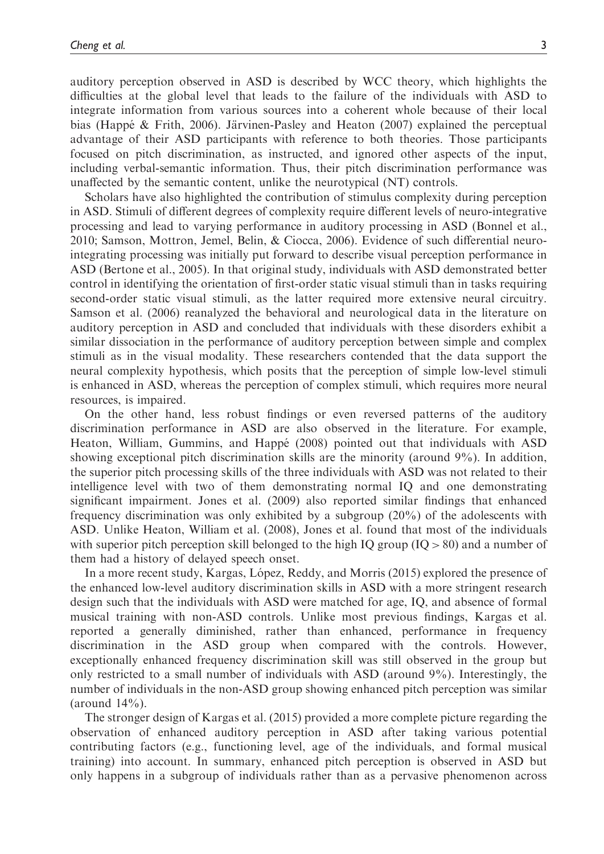auditory perception observed in ASD is described by WCC theory, which highlights the difficulties at the global level that leads to the failure of the individuals with ASD to integrate information from various sources into a coherent whole because of their local bias (Happé  $\&$  Frith, 2006). Järvinen-Pasley and Heaton (2007) explained the perceptual advantage of their ASD participants with reference to both theories. Those participants focused on pitch discrimination, as instructed, and ignored other aspects of the input, including verbal-semantic information. Thus, their pitch discrimination performance was unaffected by the semantic content, unlike the neurotypical (NT) controls.

Scholars have also highlighted the contribution of stimulus complexity during perception in ASD. Stimuli of different degrees of complexity require different levels of neuro-integrative processing and lead to varying performance in auditory processing in ASD (Bonnel et al., 2010; Samson, Mottron, Jemel, Belin, & Ciocca, 2006). Evidence of such differential neurointegrating processing was initially put forward to describe visual perception performance in ASD (Bertone et al., 2005). In that original study, individuals with ASD demonstrated better control in identifying the orientation of first-order static visual stimuli than in tasks requiring second-order static visual stimuli, as the latter required more extensive neural circuitry. Samson et al. (2006) reanalyzed the behavioral and neurological data in the literature on auditory perception in ASD and concluded that individuals with these disorders exhibit a similar dissociation in the performance of auditory perception between simple and complex stimuli as in the visual modality. These researchers contended that the data support the neural complexity hypothesis, which posits that the perception of simple low-level stimuli is enhanced in ASD, whereas the perception of complex stimuli, which requires more neural resources, is impaired.

On the other hand, less robust findings or even reversed patterns of the auditory discrimination performance in ASD are also observed in the literature. For example, Heaton, William, Gummins, and Happé (2008) pointed out that individuals with ASD showing exceptional pitch discrimination skills are the minority (around 9%). In addition, the superior pitch processing skills of the three individuals with ASD was not related to their intelligence level with two of them demonstrating normal IQ and one demonstrating significant impairment. Jones et al. (2009) also reported similar findings that enhanced frequency discrimination was only exhibited by a subgroup (20%) of the adolescents with ASD. Unlike Heaton, William et al. (2008), Jones et al. found that most of the individuals with superior pitch perception skill belonged to the high IQ group  $(IQ > 80)$  and a number of them had a history of delayed speech onset.

In a more recent study, Kargas, López, Reddy, and Morris (2015) explored the presence of the enhanced low-level auditory discrimination skills in ASD with a more stringent research design such that the individuals with ASD were matched for age, IQ, and absence of formal musical training with non-ASD controls. Unlike most previous findings, Kargas et al. reported a generally diminished, rather than enhanced, performance in frequency discrimination in the ASD group when compared with the controls. However, exceptionally enhanced frequency discrimination skill was still observed in the group but only restricted to a small number of individuals with ASD (around 9%). Interestingly, the number of individuals in the non-ASD group showing enhanced pitch perception was similar (around  $14\%$ ).

The stronger design of Kargas et al. (2015) provided a more complete picture regarding the observation of enhanced auditory perception in ASD after taking various potential contributing factors (e.g., functioning level, age of the individuals, and formal musical training) into account. In summary, enhanced pitch perception is observed in ASD but only happens in a subgroup of individuals rather than as a pervasive phenomenon across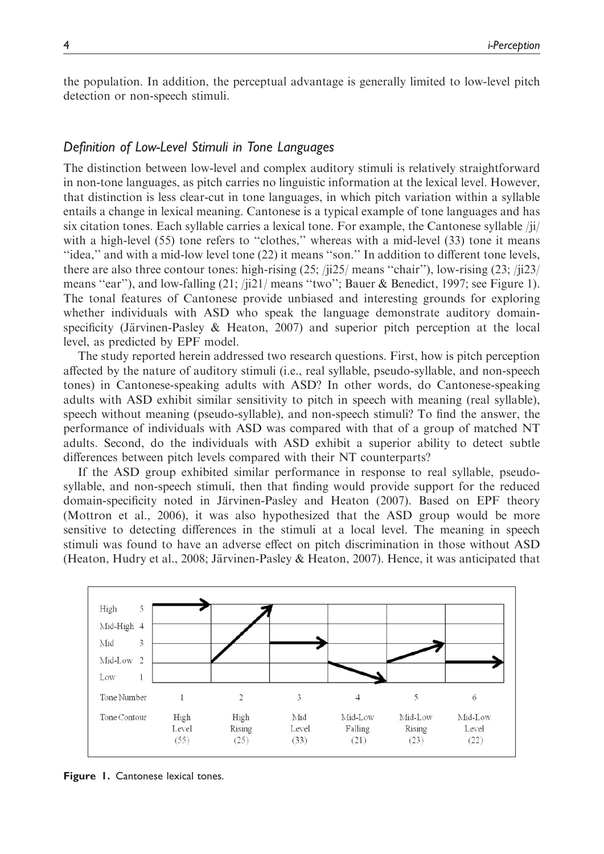the population. In addition, the perceptual advantage is generally limited to low-level pitch detection or non-speech stimuli.

### Definition of Low-Level Stimuli in Tone Languages

The distinction between low-level and complex auditory stimuli is relatively straightforward in non-tone languages, as pitch carries no linguistic information at the lexical level. However, that distinction is less clear-cut in tone languages, in which pitch variation within a syllable entails a change in lexical meaning. Cantonese is a typical example of tone languages and has six citation tones. Each syllable carries a lexical tone. For example, the Cantonese syllable /ji/ with a high-level (55) tone refers to "clothes," whereas with a mid-level (33) tone it means ''idea,'' and with a mid-low level tone (22) it means ''son.'' In addition to different tone levels, there are also three contour tones: high-rising (25; /ji25/ means ''chair''), low-rising (23; /ji23/ means "ear"), and low-falling  $(21; /j21/$  means "two"; Bauer & Benedict, 1997; see Figure 1). The tonal features of Cantonese provide unbiased and interesting grounds for exploring whether individuals with ASD who speak the language demonstrate auditory domainspecificity (Järvinen-Pasley & Heaton, 2007) and superior pitch perception at the local level, as predicted by EPF model.

The study reported herein addressed two research questions. First, how is pitch perception affected by the nature of auditory stimuli (i.e., real syllable, pseudo-syllable, and non-speech tones) in Cantonese-speaking adults with ASD? In other words, do Cantonese-speaking adults with ASD exhibit similar sensitivity to pitch in speech with meaning (real syllable), speech without meaning (pseudo-syllable), and non-speech stimuli? To find the answer, the performance of individuals with ASD was compared with that of a group of matched NT adults. Second, do the individuals with ASD exhibit a superior ability to detect subtle differences between pitch levels compared with their NT counterparts?

If the ASD group exhibited similar performance in response to real syllable, pseudosyllable, and non-speech stimuli, then that finding would provide support for the reduced domain-specificity noted in Järvinen-Pasley and Heaton (2007). Based on EPF theory (Mottron et al., 2006), it was also hypothesized that the ASD group would be more sensitive to detecting differences in the stimuli at a local level. The meaning in speech stimuli was found to have an adverse effect on pitch discrimination in those without ASD (Heaton, Hudry et al., 2008; Järvinen-Pasley & Heaton, 2007). Hence, it was anticipated that



Figure 1. Cantonese lexical tones.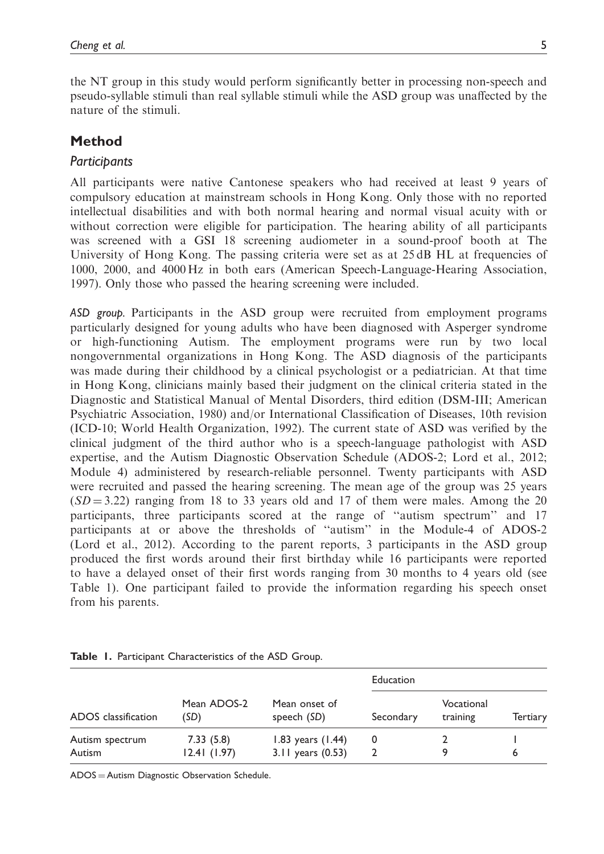the NT group in this study would perform significantly better in processing non-speech and pseudo-syllable stimuli than real syllable stimuli while the ASD group was unaffected by the nature of the stimuli.

# Method

## **Participants**

All participants were native Cantonese speakers who had received at least 9 years of compulsory education at mainstream schools in Hong Kong. Only those with no reported intellectual disabilities and with both normal hearing and normal visual acuity with or without correction were eligible for participation. The hearing ability of all participants was screened with a GSI 18 screening audiometer in a sound-proof booth at The University of Hong Kong. The passing criteria were set as at 25 dB HL at frequencies of 1000, 2000, and 4000 Hz in both ears (American Speech-Language-Hearing Association, 1997). Only those who passed the hearing screening were included.

ASD group. Participants in the ASD group were recruited from employment programs particularly designed for young adults who have been diagnosed with Asperger syndrome or high-functioning Autism. The employment programs were run by two local nongovernmental organizations in Hong Kong. The ASD diagnosis of the participants was made during their childhood by a clinical psychologist or a pediatrician. At that time in Hong Kong, clinicians mainly based their judgment on the clinical criteria stated in the Diagnostic and Statistical Manual of Mental Disorders, third edition (DSM-III; American Psychiatric Association, 1980) and/or International Classification of Diseases, 10th revision (ICD-10; World Health Organization, 1992). The current state of ASD was verified by the clinical judgment of the third author who is a speech-language pathologist with ASD expertise, and the Autism Diagnostic Observation Schedule (ADOS-2; Lord et al., 2012; Module 4) administered by research-reliable personnel. Twenty participants with ASD were recruited and passed the hearing screening. The mean age of the group was 25 years  $(SD = 3.22)$  ranging from 18 to 33 years old and 17 of them were males. Among the 20 participants, three participants scored at the range of ''autism spectrum'' and 17 participants at or above the thresholds of ''autism'' in the Module-4 of ADOS-2 (Lord et al., 2012). According to the parent reports, 3 participants in the ASD group produced the first words around their first birthday while 16 participants were reported to have a delayed onset of their first words ranging from 30 months to 4 years old (see Table 1). One participant failed to provide the information regarding his speech onset from his parents.

| ADOS classification       | Mean ADOS-2<br>(SD)      | Mean onset of<br>speech (SD)                 | Education |                        |                 |
|---------------------------|--------------------------|----------------------------------------------|-----------|------------------------|-----------------|
|                           |                          |                                              | Secondary | Vocational<br>training | <b>Tertiary</b> |
| Autism spectrum<br>Autism | 7.33(5.8)<br>12.41(1.97) | 1.83 years $(1.44)$<br>$3.11$ years $(0.53)$ | 0         |                        |                 |

Table 1. Participant Characteristics of the ASD Group.

ADOS = Autism Diagnostic Observation Schedule.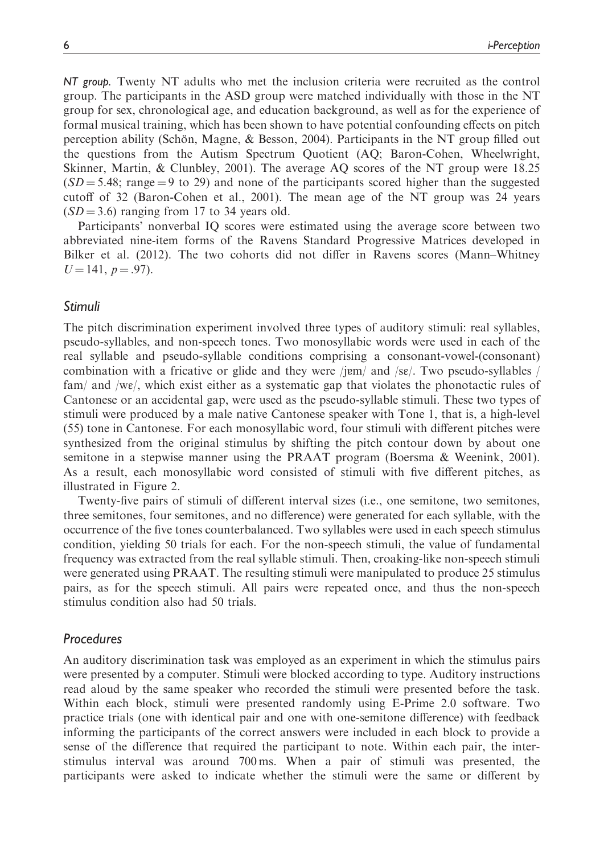NT group. Twenty NT adults who met the inclusion criteria were recruited as the control group. The participants in the ASD group were matched individually with those in the NT group for sex, chronological age, and education background, as well as for the experience of formal musical training, which has been shown to have potential confounding effects on pitch perception ability (Schön, Magne,  $\&$  Besson, 2004). Participants in the NT group filled out the questions from the Autism Spectrum Quotient (AQ; Baron-Cohen, Wheelwright, Skinner, Martin, & Clunbley, 2001). The average AQ scores of the NT group were 18.25  $(SD = 5.48;$  range  $= 9$  to 29) and none of the participants scored higher than the suggested cutoff of 32 (Baron-Cohen et al., 2001). The mean age of the NT group was 24 years  $(SD = 3.6)$  ranging from 17 to 34 years old.

Participants' nonverbal IQ scores were estimated using the average score between two abbreviated nine-item forms of the Ravens Standard Progressive Matrices developed in Bilker et al. (2012). The two cohorts did not differ in Ravens scores (Mann–Whitney  $U = 141$ ,  $p = .97$ ).

### Stimuli

The pitch discrimination experiment involved three types of auditory stimuli: real syllables, pseudo-syllables, and non-speech tones. Two monosyllabic words were used in each of the real syllable and pseudo-syllable conditions comprising a consonant-vowel-(consonant) combination with a fricative or glide and they were /j $\text{em}/$  and /s $\epsilon$ /. Two pseudo-syllables / fam/ and /w $\varepsilon$ /, which exist either as a systematic gap that violates the phonotactic rules of Cantonese or an accidental gap, were used as the pseudo-syllable stimuli. These two types of stimuli were produced by a male native Cantonese speaker with Tone 1, that is, a high-level (55) tone in Cantonese. For each monosyllabic word, four stimuli with different pitches were synthesized from the original stimulus by shifting the pitch contour down by about one semitone in a stepwise manner using the PRAAT program (Boersma & Weenink, 2001). As a result, each monosyllabic word consisted of stimuli with five different pitches, as illustrated in Figure 2.

Twenty-five pairs of stimuli of different interval sizes (i.e., one semitone, two semitones, three semitones, four semitones, and no difference) were generated for each syllable, with the occurrence of the five tones counterbalanced. Two syllables were used in each speech stimulus condition, yielding 50 trials for each. For the non-speech stimuli, the value of fundamental frequency was extracted from the real syllable stimuli. Then, croaking-like non-speech stimuli were generated using PRAAT. The resulting stimuli were manipulated to produce 25 stimulus pairs, as for the speech stimuli. All pairs were repeated once, and thus the non-speech stimulus condition also had 50 trials.

#### **Procedures**

An auditory discrimination task was employed as an experiment in which the stimulus pairs were presented by a computer. Stimuli were blocked according to type. Auditory instructions read aloud by the same speaker who recorded the stimuli were presented before the task. Within each block, stimuli were presented randomly using E-Prime 2.0 software. Two practice trials (one with identical pair and one with one-semitone difference) with feedback informing the participants of the correct answers were included in each block to provide a sense of the difference that required the participant to note. Within each pair, the interstimulus interval was around 700 ms. When a pair of stimuli was presented, the participants were asked to indicate whether the stimuli were the same or different by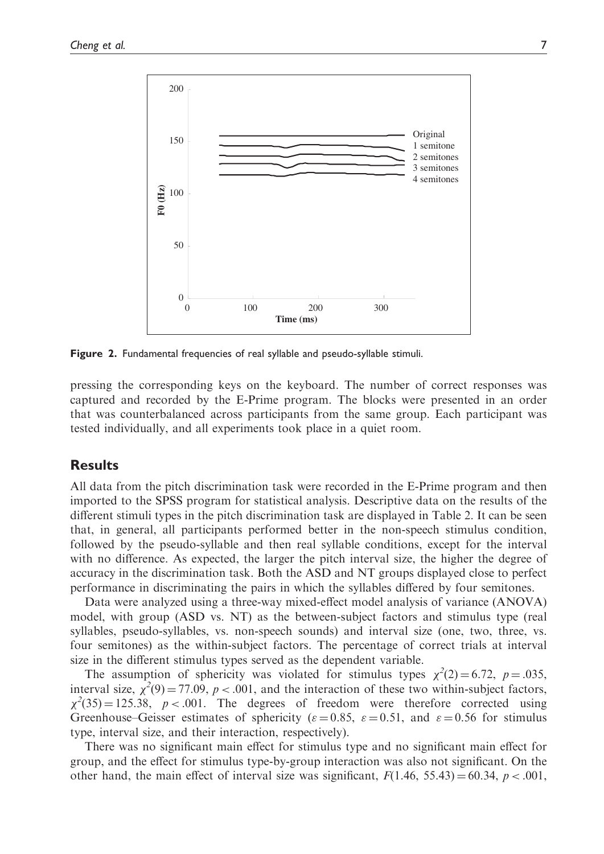

Figure 2. Fundamental frequencies of real syllable and pseudo-syllable stimuli.

pressing the corresponding keys on the keyboard. The number of correct responses was captured and recorded by the E-Prime program. The blocks were presented in an order that was counterbalanced across participants from the same group. Each participant was tested individually, and all experiments took place in a quiet room.

## **Results**

All data from the pitch discrimination task were recorded in the E-Prime program and then imported to the SPSS program for statistical analysis. Descriptive data on the results of the different stimuli types in the pitch discrimination task are displayed in Table 2. It can be seen that, in general, all participants performed better in the non-speech stimulus condition, followed by the pseudo-syllable and then real syllable conditions, except for the interval with no difference. As expected, the larger the pitch interval size, the higher the degree of accuracy in the discrimination task. Both the ASD and NT groups displayed close to perfect performance in discriminating the pairs in which the syllables differed by four semitones.

Data were analyzed using a three-way mixed-effect model analysis of variance (ANOVA) model, with group (ASD vs. NT) as the between-subject factors and stimulus type (real syllables, pseudo-syllables, vs. non-speech sounds) and interval size (one, two, three, vs. four semitones) as the within-subject factors. The percentage of correct trials at interval size in the different stimulus types served as the dependent variable.

The assumption of sphericity was violated for stimulus types  $\chi^2(2) = 6.72$ ,  $p = .035$ , interval size,  $\chi^2(9) = 77.09$ ,  $p < .001$ , and the interaction of these two within-subject factors,  $\chi^2(35) = 125.38$ ,  $p < .001$ . The degrees of freedom were therefore corrected using Greenhouse–Geisser estimates of sphericity ( $\varepsilon = 0.85$ ,  $\varepsilon = 0.51$ , and  $\varepsilon = 0.56$  for stimulus type, interval size, and their interaction, respectively).

There was no significant main effect for stimulus type and no significant main effect for group, and the effect for stimulus type-by-group interaction was also not significant. On the other hand, the main effect of interval size was significant,  $F(1.46, 55.43) = 60.34, p < .001$ ,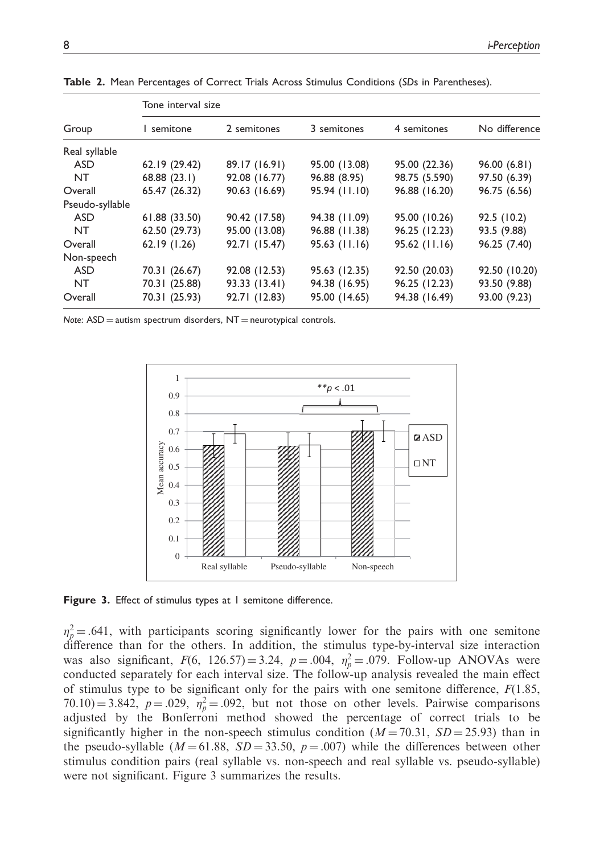| Group           | Tone interval size |               |                 |               |               |  |  |
|-----------------|--------------------|---------------|-----------------|---------------|---------------|--|--|
|                 | l semitone         | 2 semitones   | 3 semitones     | 4 semitones   | No difference |  |  |
| Real syllable   |                    |               |                 |               |               |  |  |
| <b>ASD</b>      | 62.19 (29.42)      | 89.17 (16.91) | 95.00 (13.08)   | 95.00 (22.36) | 96.00(6.81)   |  |  |
| NT.             | 68.88(23.1)        | 92.08 (16.77) | 96.88 (8.95)    | 98.75 (5.590) | 97.50 (6.39)  |  |  |
| Overall         | 65.47 (26.32)      | 90.63 (16.69) | 95.94 (11.10)   | 96.88 (16.20) | 96.75 (6.56)  |  |  |
| Pseudo-syllable |                    |               |                 |               |               |  |  |
| <b>ASD</b>      | 61.88 (33.50)      | 90.42 (17.58) | 94.38 (11.09)   | 95.00 (10.26) | 92.5 (10.2)   |  |  |
| NT.             | 62.50 (29.73)      | 95.00 (13.08) | 96.88 (11.38)   | 96.25 (12.23) | 93.5 (9.88)   |  |  |
| Overall         | 62.19(1.26)        | 92.71 (15.47) | $95.63$ (11.16) | 95.62 (11.16) | 96.25 (7.40)  |  |  |
| Non-speech      |                    |               |                 |               |               |  |  |
| <b>ASD</b>      | 70.31 (26.67)      | 92.08 (12.53) | 95.63 (12.35)   | 92.50 (20.03) | 92.50 (10.20) |  |  |
| <b>NT</b>       | 70.31 (25.88)      | 93.33 (13.41) | 94.38 (16.95)   | 96.25 (12.23) | 93.50 (9.88)  |  |  |
| Overall         | 70.31 (25.93)      | 92.71 (12.83) | 95.00 (14.65)   | 94.38 (16.49) | 93.00 (9.23)  |  |  |

Table 2. Mean Percentages of Correct Trials Across Stimulus Conditions (SDs in Parentheses).

Note:  $ASD =$  autism spectrum disorders,  $NT =$  neurotypical controls.



Figure 3. Effect of stimulus types at 1 semitone difference.

 $\eta_p^2$  = .641, with participants scoring significantly lower for the pairs with one semitone difference than for the others. In addition, the stimulus type-by-interval size interaction was also significant,  $F(6, 126.57) = 3.24$ ,  $p = .004$ ,  $\eta_p^2 = .079$ . Follow-up ANOVAs were conducted separately for each interval size. The follow-up analysis revealed the main effect of stimulus type to be significant only for the pairs with one semitone difference,  $F(1.85,$  $70.10) = 3.842$ ,  $p = .029$ ,  $\eta_p^2 = .092$ , but not those on other levels. Pairwise comparisons adjusted by the Bonferroni method showed the percentage of correct trials to be significantly higher in the non-speech stimulus condition  $(M = 70.31, SD = 25.93)$  than in the pseudo-syllable ( $M = 61.88$ ,  $SD = 33.50$ ,  $p = .007$ ) while the differences between other stimulus condition pairs (real syllable vs. non-speech and real syllable vs. pseudo-syllable) were not significant. Figure 3 summarizes the results.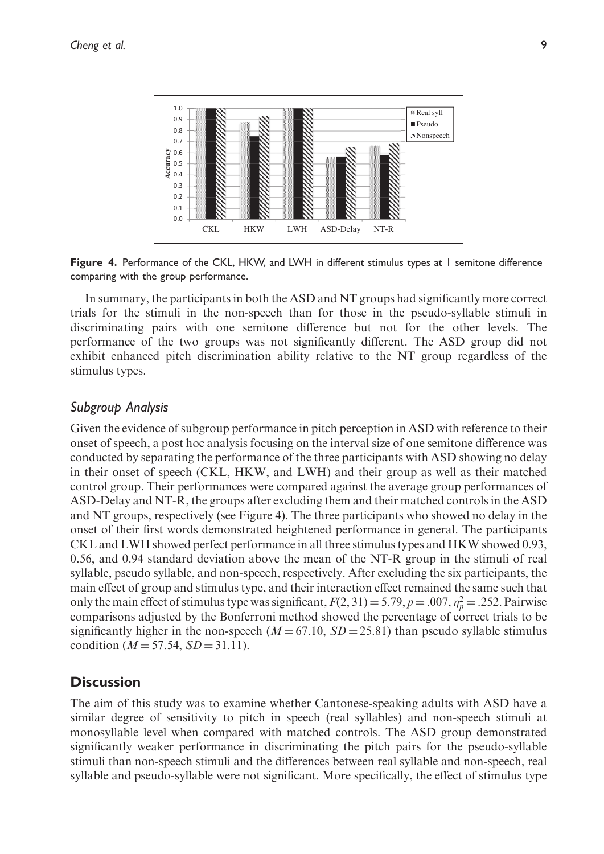

Figure 4. Performance of the CKL, HKW, and LWH in different stimulus types at 1 semitone difference comparing with the group performance.

In summary, the participants in both the ASD and NT groups had significantly more correct trials for the stimuli in the non-speech than for those in the pseudo-syllable stimuli in discriminating pairs with one semitone difference but not for the other levels. The performance of the two groups was not significantly different. The ASD group did not exhibit enhanced pitch discrimination ability relative to the NT group regardless of the stimulus types.

## Subgroup Analysis

Given the evidence of subgroup performance in pitch perception in ASD with reference to their onset of speech, a post hoc analysis focusing on the interval size of one semitone difference was conducted by separating the performance of the three participants with ASD showing no delay in their onset of speech (CKL, HKW, and LWH) and their group as well as their matched control group. Their performances were compared against the average group performances of ASD-Delay and NT-R, the groups after excluding them and their matched controls in the ASD and NT groups, respectively (see Figure 4). The three participants who showed no delay in the onset of their first words demonstrated heightened performance in general. The participants CKL and LWH showed perfect performance in all three stimulus types and HKW showed 0.93, 0.56, and 0.94 standard deviation above the mean of the NT-R group in the stimuli of real syllable, pseudo syllable, and non-speech, respectively. After excluding the six participants, the main effect of group and stimulus type, and their interaction effect remained the same such that only the main effect of stimulus type was significant,  $F(2, 31) = 5.79$ ,  $p = .007$ ,  $\eta_p^2 = .252$ . Pairwise comparisons adjusted by the Bonferroni method showed the percentage of correct trials to be significantly higher in the non-speech ( $M = 67.10$ ,  $SD = 25.81$ ) than pseudo syllable stimulus condition ( $M = 57.54$ ,  $SD = 31.11$ ).

## **Discussion**

The aim of this study was to examine whether Cantonese-speaking adults with ASD have a similar degree of sensitivity to pitch in speech (real syllables) and non-speech stimuli at monosyllable level when compared with matched controls. The ASD group demonstrated significantly weaker performance in discriminating the pitch pairs for the pseudo-syllable stimuli than non-speech stimuli and the differences between real syllable and non-speech, real syllable and pseudo-syllable were not significant. More specifically, the effect of stimulus type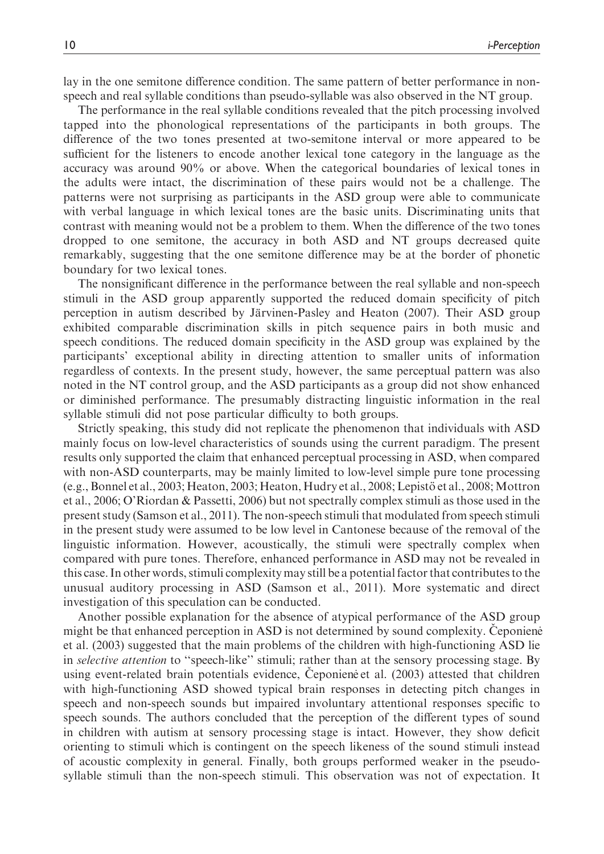lay in the one semitone difference condition. The same pattern of better performance in nonspeech and real syllable conditions than pseudo-syllable was also observed in the NT group.

The performance in the real syllable conditions revealed that the pitch processing involved tapped into the phonological representations of the participants in both groups. The difference of the two tones presented at two-semitone interval or more appeared to be sufficient for the listeners to encode another lexical tone category in the language as the accuracy was around 90% or above. When the categorical boundaries of lexical tones in the adults were intact, the discrimination of these pairs would not be a challenge. The patterns were not surprising as participants in the ASD group were able to communicate with verbal language in which lexical tones are the basic units. Discriminating units that contrast with meaning would not be a problem to them. When the difference of the two tones dropped to one semitone, the accuracy in both ASD and NT groups decreased quite remarkably, suggesting that the one semitone difference may be at the border of phonetic boundary for two lexical tones.

The nonsignificant difference in the performance between the real syllable and non-speech stimuli in the ASD group apparently supported the reduced domain specificity of pitch perception in autism described by Järvinen-Pasley and Heaton (2007). Their ASD group exhibited comparable discrimination skills in pitch sequence pairs in both music and speech conditions. The reduced domain specificity in the ASD group was explained by the participants' exceptional ability in directing attention to smaller units of information regardless of contexts. In the present study, however, the same perceptual pattern was also noted in the NT control group, and the ASD participants as a group did not show enhanced or diminished performance. The presumably distracting linguistic information in the real syllable stimuli did not pose particular difficulty to both groups.

Strictly speaking, this study did not replicate the phenomenon that individuals with ASD mainly focus on low-level characteristics of sounds using the current paradigm. The present results only supported the claim that enhanced perceptual processing in ASD, when compared with non-ASD counterparts, may be mainly limited to low-level simple pure tone processing (e.g., Bonnel et al., 2003; Heaton, 2003; Heaton, Hudry et al., 2008; Lepistö et al., 2008; Mottron et al., 2006; O'Riordan & Passetti, 2006) but not spectrally complex stimuli as those used in the present study (Samson et al., 2011). The non-speech stimuli that modulated from speech stimuli in the present study were assumed to be low level in Cantonese because of the removal of the linguistic information. However, acoustically, the stimuli were spectrally complex when compared with pure tones. Therefore, enhanced performance in ASD may not be revealed in this case. In other words, stimuli complexity may still be a potential factor that contributes to the unusual auditory processing in ASD (Samson et al., 2011). More systematic and direct investigation of this speculation can be conducted.

Another possible explanation for the absence of atypical performance of the ASD group might be that enhanced perception in ASD is not determined by sound complexity. Ceponiene et al. (2003) suggested that the main problems of the children with high-functioning ASD lie in *selective attention* to "speech-like" stimuli; rather than at the sensory processing stage. By using event-related brain potentials evidence, Ceponiene et al. (2003) attested that children with high-functioning ASD showed typical brain responses in detecting pitch changes in speech and non-speech sounds but impaired involuntary attentional responses specific to speech sounds. The authors concluded that the perception of the different types of sound in children with autism at sensory processing stage is intact. However, they show deficit orienting to stimuli which is contingent on the speech likeness of the sound stimuli instead of acoustic complexity in general. Finally, both groups performed weaker in the pseudosyllable stimuli than the non-speech stimuli. This observation was not of expectation. It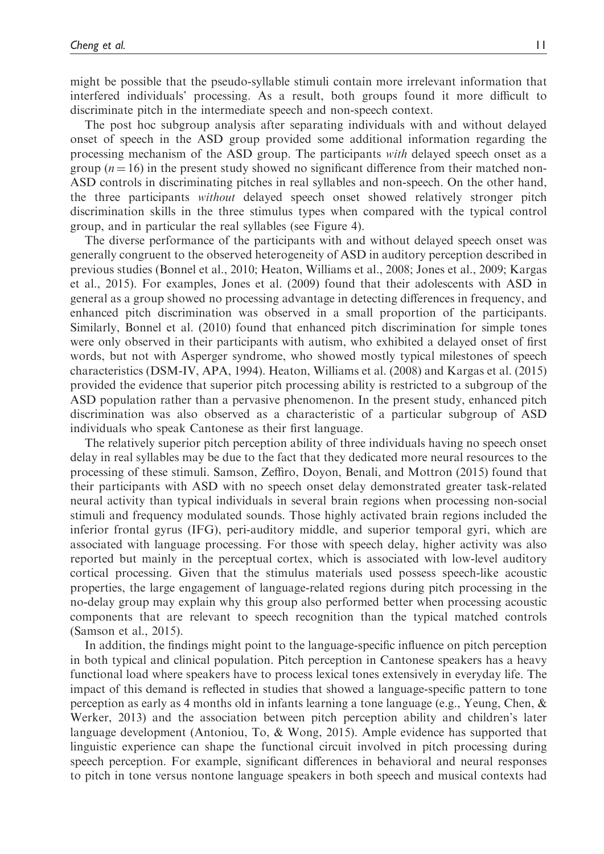might be possible that the pseudo-syllable stimuli contain more irrelevant information that interfered individuals' processing. As a result, both groups found it more difficult to discriminate pitch in the intermediate speech and non-speech context.

The post hoc subgroup analysis after separating individuals with and without delayed onset of speech in the ASD group provided some additional information regarding the processing mechanism of the ASD group. The participants with delayed speech onset as a group  $(n = 16)$  in the present study showed no significant difference from their matched non-ASD controls in discriminating pitches in real syllables and non-speech. On the other hand, the three participants without delayed speech onset showed relatively stronger pitch discrimination skills in the three stimulus types when compared with the typical control group, and in particular the real syllables (see Figure 4).

The diverse performance of the participants with and without delayed speech onset was generally congruent to the observed heterogeneity of ASD in auditory perception described in previous studies (Bonnel et al., 2010; Heaton, Williams et al., 2008; Jones et al., 2009; Kargas et al., 2015). For examples, Jones et al. (2009) found that their adolescents with ASD in general as a group showed no processing advantage in detecting differences in frequency, and enhanced pitch discrimination was observed in a small proportion of the participants. Similarly, Bonnel et al. (2010) found that enhanced pitch discrimination for simple tones were only observed in their participants with autism, who exhibited a delayed onset of first words, but not with Asperger syndrome, who showed mostly typical milestones of speech characteristics (DSM-IV, APA, 1994). Heaton, Williams et al. (2008) and Kargas et al. (2015) provided the evidence that superior pitch processing ability is restricted to a subgroup of the ASD population rather than a pervasive phenomenon. In the present study, enhanced pitch discrimination was also observed as a characteristic of a particular subgroup of ASD individuals who speak Cantonese as their first language.

The relatively superior pitch perception ability of three individuals having no speech onset delay in real syllables may be due to the fact that they dedicated more neural resources to the processing of these stimuli. Samson, Zeffiro, Doyon, Benali, and Mottron (2015) found that their participants with ASD with no speech onset delay demonstrated greater task-related neural activity than typical individuals in several brain regions when processing non-social stimuli and frequency modulated sounds. Those highly activated brain regions included the inferior frontal gyrus (IFG), peri-auditory middle, and superior temporal gyri, which are associated with language processing. For those with speech delay, higher activity was also reported but mainly in the perceptual cortex, which is associated with low-level auditory cortical processing. Given that the stimulus materials used possess speech-like acoustic properties, the large engagement of language-related regions during pitch processing in the no-delay group may explain why this group also performed better when processing acoustic components that are relevant to speech recognition than the typical matched controls (Samson et al., 2015).

In addition, the findings might point to the language-specific influence on pitch perception in both typical and clinical population. Pitch perception in Cantonese speakers has a heavy functional load where speakers have to process lexical tones extensively in everyday life. The impact of this demand is reflected in studies that showed a language-specific pattern to tone perception as early as 4 months old in infants learning a tone language (e.g., Yeung, Chen, & Werker, 2013) and the association between pitch perception ability and children's later language development (Antoniou, To, & Wong, 2015). Ample evidence has supported that linguistic experience can shape the functional circuit involved in pitch processing during speech perception. For example, significant differences in behavioral and neural responses to pitch in tone versus nontone language speakers in both speech and musical contexts had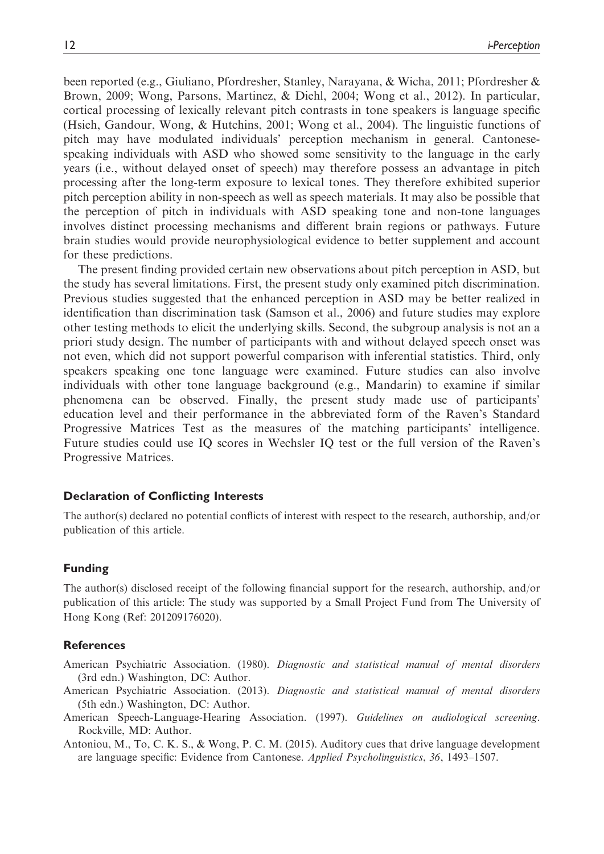been reported (e.g., Giuliano, Pfordresher, Stanley, Narayana, & Wicha, 2011; Pfordresher & Brown, 2009; Wong, Parsons, Martinez, & Diehl, 2004; Wong et al., 2012). In particular, cortical processing of lexically relevant pitch contrasts in tone speakers is language specific (Hsieh, Gandour, Wong, & Hutchins, 2001; Wong et al., 2004). The linguistic functions of pitch may have modulated individuals' perception mechanism in general. Cantonesespeaking individuals with ASD who showed some sensitivity to the language in the early years (i.e., without delayed onset of speech) may therefore possess an advantage in pitch processing after the long-term exposure to lexical tones. They therefore exhibited superior pitch perception ability in non-speech as well as speech materials. It may also be possible that the perception of pitch in individuals with ASD speaking tone and non-tone languages involves distinct processing mechanisms and different brain regions or pathways. Future brain studies would provide neurophysiological evidence to better supplement and account for these predictions.

The present finding provided certain new observations about pitch perception in ASD, but the study has several limitations. First, the present study only examined pitch discrimination. Previous studies suggested that the enhanced perception in ASD may be better realized in identification than discrimination task (Samson et al., 2006) and future studies may explore other testing methods to elicit the underlying skills. Second, the subgroup analysis is not an a priori study design. The number of participants with and without delayed speech onset was not even, which did not support powerful comparison with inferential statistics. Third, only speakers speaking one tone language were examined. Future studies can also involve individuals with other tone language background (e.g., Mandarin) to examine if similar phenomena can be observed. Finally, the present study made use of participants' education level and their performance in the abbreviated form of the Raven's Standard Progressive Matrices Test as the measures of the matching participants' intelligence. Future studies could use IQ scores in Wechsler IQ test or the full version of the Raven's Progressive Matrices.

#### Declaration of Conflicting Interests

The author(s) declared no potential conflicts of interest with respect to the research, authorship, and/or publication of this article.

#### Funding

The author(s) disclosed receipt of the following financial support for the research, authorship, and/or publication of this article: The study was supported by a Small Project Fund from The University of Hong Kong (Ref: 201209176020).

#### References

American Psychiatric Association. (1980). Diagnostic and statistical manual of mental disorders (3rd edn.) Washington, DC: Author.

- American Psychiatric Association. (2013). Diagnostic and statistical manual of mental disorders (5th edn.) Washington, DC: Author.
- American Speech-Language-Hearing Association. (1997). Guidelines on audiological screening. Rockville, MD: Author.

Antoniou, M., To, C. K. S., & Wong, P. C. M. (2015). Auditory cues that drive language development are language specific: Evidence from Cantonese. Applied Psycholinguistics, 36, 1493–1507.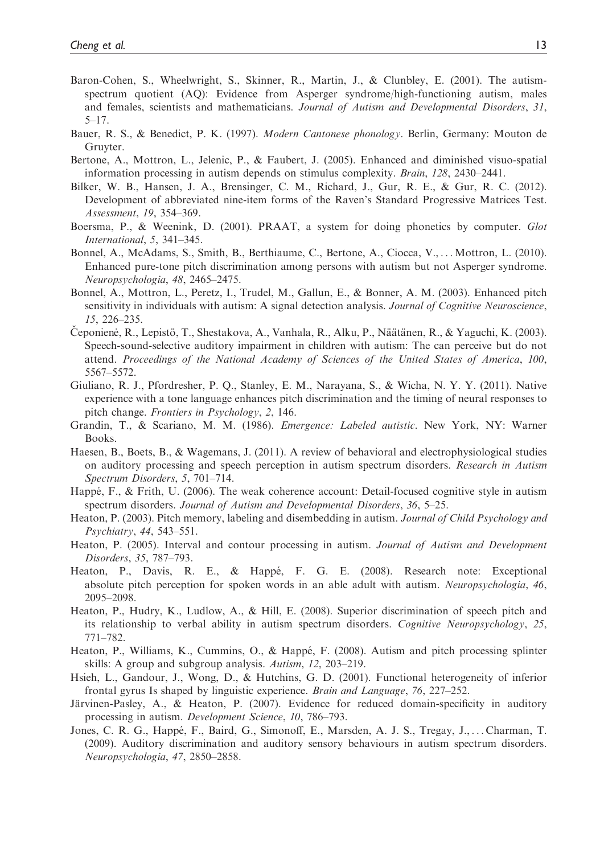- Baron-Cohen, S., Wheelwright, S., Skinner, R., Martin, J., & Clunbley, E. (2001). The autismspectrum quotient (AQ): Evidence from Asperger syndrome/high-functioning autism, males and females, scientists and mathematicians. Journal of Autism and Developmental Disorders, 31, 5–17.
- Bauer, R. S., & Benedict, P. K. (1997). Modern Cantonese phonology. Berlin, Germany: Mouton de Gruyter.
- Bertone, A., Mottron, L., Jelenic, P., & Faubert, J. (2005). Enhanced and diminished visuo-spatial information processing in autism depends on stimulus complexity. Brain, 128, 2430–2441.
- Bilker, W. B., Hansen, J. A., Brensinger, C. M., Richard, J., Gur, R. E., & Gur, R. C. (2012). Development of abbreviated nine-item forms of the Raven's Standard Progressive Matrices Test. Assessment, 19, 354–369.
- Boersma, P., & Weenink, D. (2001). PRAAT, a system for doing phonetics by computer. Glot International, 5, 341–345.
- Bonnel, A., McAdams, S., Smith, B., Berthiaume, C., Bertone, A., Ciocca, V., ... Mottron, L. (2010). Enhanced pure-tone pitch discrimination among persons with autism but not Asperger syndrome. Neuropsychologia, 48, 2465–2475.
- Bonnel, A., Mottron, L., Peretz, I., Trudel, M., Gallun, E., & Bonner, A. M. (2003). Enhanced pitch sensitivity in individuals with autism: A signal detection analysis. Journal of Cognitive Neuroscience, 15, 226–235.
- Ceponiene, R., Lepistö, T., Shestakova, A., Vanhala, R., Alku, P., Näätänen, R., & Yaguchi, K. (2003). Speech-sound-selective auditory impairment in children with autism: The can perceive but do not attend. Proceedings of the National Academy of Sciences of the United States of America, 100, 5567–5572.
- Giuliano, R. J., Pfordresher, P. Q., Stanley, E. M., Narayana, S., & Wicha, N. Y. Y. (2011). Native experience with a tone language enhances pitch discrimination and the timing of neural responses to pitch change. Frontiers in Psychology, 2, 146.
- Grandin, T., & Scariano, M. M. (1986). Emergence: Labeled autistic. New York, NY: Warner Books.
- Haesen, B., Boets, B., & Wagemans, J. (2011). A review of behavioral and electrophysiological studies on auditory processing and speech perception in autism spectrum disorders. Research in Autism Spectrum Disorders, 5, 701–714.
- Happé, F., & Frith, U. (2006). The weak coherence account: Detail-focused cognitive style in autism spectrum disorders. Journal of Autism and Developmental Disorders, 36, 5–25.
- Heaton, P. (2003). Pitch memory, labeling and disembedding in autism. Journal of Child Psychology and Psychiatry, 44, 543–551.
- Heaton, P. (2005). Interval and contour processing in autism. Journal of Autism and Development Disorders, 35, 787–793.
- Heaton, P., Davis, R. E., & Happé, F. G. E. (2008). Research note: Exceptional absolute pitch perception for spoken words in an able adult with autism. Neuropsychologia, 46, 2095–2098.
- Heaton, P., Hudry, K., Ludlow, A., & Hill, E. (2008). Superior discrimination of speech pitch and its relationship to verbal ability in autism spectrum disorders. Cognitive Neuropsychology, 25, 771–782.
- Heaton, P., Williams, K., Cummins, O., & Happé, F. (2008). Autism and pitch processing splinter skills: A group and subgroup analysis. Autism, 12, 203–219.
- Hsieh, L., Gandour, J., Wong, D., & Hutchins, G. D. (2001). Functional heterogeneity of inferior frontal gyrus Is shaped by linguistic experience. Brain and Language, 76, 227–252.
- Järvinen-Pasley, A., & Heaton, P. (2007). Evidence for reduced domain-specificity in auditory processing in autism. Development Science, 10, 786–793.
- Jones, C. R. G., Happé, F., Baird, G., Simonoff, E., Marsden, A. J. S., Tregay, J., ... Charman, T. (2009). Auditory discrimination and auditory sensory behaviours in autism spectrum disorders. Neuropsychologia, 47, 2850–2858.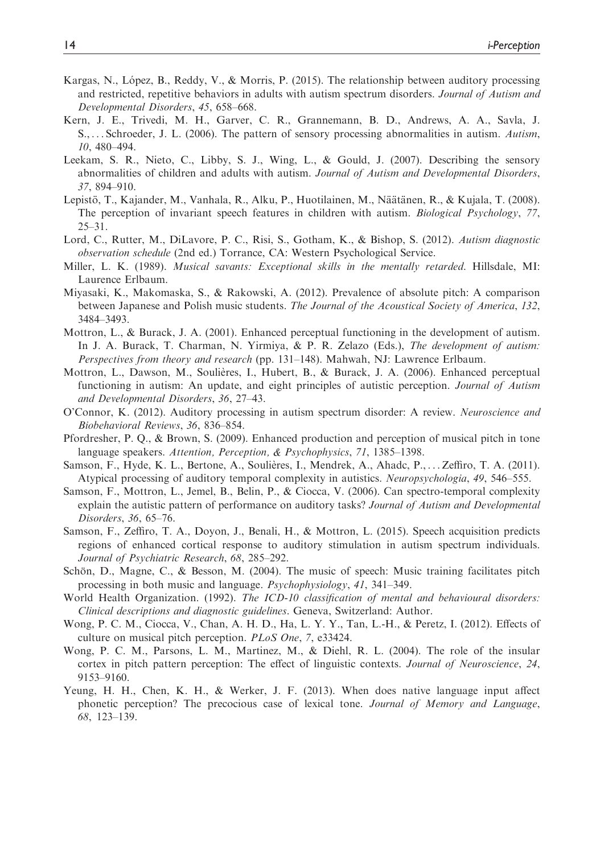- Kargas, N., López, B., Reddy, V., & Morris, P. (2015). The relationship between auditory processing and restricted, repetitive behaviors in adults with autism spectrum disorders. Journal of Autism and Developmental Disorders, 45, 658–668.
- Kern, J. E., Trivedi, M. H., Garver, C. R., Grannemann, B. D., Andrews, A. A., Savla, J. S., ... Schroeder, J. L. (2006). The pattern of sensory processing abnormalities in autism. Autism, 10, 480–494.
- Leekam, S. R., Nieto, C., Libby, S. J., Wing, L., & Gould, J. (2007). Describing the sensory abnormalities of children and adults with autism. Journal of Autism and Developmental Disorders, 37, 894–910.
- Lepistö, T., Kajander, M., Vanhala, R., Alku, P., Huotilainen, M., Näätänen, R., & Kujala, T. (2008). The perception of invariant speech features in children with autism. Biological Psychology, 77, 25–31.
- Lord, C., Rutter, M., DiLavore, P. C., Risi, S., Gotham, K., & Bishop, S. (2012). Autism diagnostic observation schedule (2nd ed.) Torrance, CA: Western Psychological Service.
- Miller, L. K. (1989). Musical savants: Exceptional skills in the mentally retarded. Hillsdale, MI: Laurence Erlbaum.
- Miyasaki, K., Makomaska, S., & Rakowski, A. (2012). Prevalence of absolute pitch: A comparison between Japanese and Polish music students. The Journal of the Acoustical Society of America, 132, 3484–3493.
- Mottron, L., & Burack, J. A. (2001). Enhanced perceptual functioning in the development of autism. In J. A. Burack, T. Charman, N. Yirmiya, & P. R. Zelazo (Eds.), The development of autism: Perspectives from theory and research (pp. 131–148). Mahwah, NJ: Lawrence Erlbaum.
- Mottron, L., Dawson, M., Soulières, I., Hubert, B., & Burack, J. A. (2006). Enhanced perceptual functioning in autism: An update, and eight principles of autistic perception. Journal of Autism and Developmental Disorders, 36, 27–43.
- O'Connor, K. (2012). Auditory processing in autism spectrum disorder: A review. Neuroscience and Biobehavioral Reviews, 36, 836–854.
- Pfordresher, P. Q., & Brown, S. (2009). Enhanced production and perception of musical pitch in tone language speakers. Attention, Perception, & Psychophysics, 71, 1385–1398.
- Samson, F., Hyde, K. L., Bertone, A., Soulières, I., Mendrek, A., Ahadc, P., ... Zeffiro, T. A. (2011). Atypical processing of auditory temporal complexity in autistics. Neuropsychologia, 49, 546–555.
- Samson, F., Mottron, L., Jemel, B., Belin, P., & Ciocca, V. (2006). Can spectro-temporal complexity explain the autistic pattern of performance on auditory tasks? Journal of Autism and Developmental Disorders, 36, 65–76.
- Samson, F., Zeffiro, T. A., Doyon, J., Benali, H., & Mottron, L. (2015). Speech acquisition predicts regions of enhanced cortical response to auditory stimulation in autism spectrum individuals. Journal of Psychiatric Research, 68, 285–292.
- Schön, D., Magne, C., & Besson, M. (2004). The music of speech: Music training facilitates pitch processing in both music and language. Psychophysiology, 41, 341–349.
- World Health Organization. (1992). The ICD-10 classification of mental and behavioural disorders: Clinical descriptions and diagnostic guidelines. Geneva, Switzerland: Author.
- Wong, P. C. M., Ciocca, V., Chan, A. H. D., Ha, L. Y. Y., Tan, L.-H., & Peretz, I. (2012). Effects of culture on musical pitch perception. PLoS One, 7, e33424.
- Wong, P. C. M., Parsons, L. M., Martinez, M., & Diehl, R. L. (2004). The role of the insular cortex in pitch pattern perception: The effect of linguistic contexts. Journal of Neuroscience, 24, 9153–9160.
- Yeung, H. H., Chen, K. H., & Werker, J. F. (2013). When does native language input affect phonetic perception? The precocious case of lexical tone. Journal of Memory and Language, 68, 123–139.